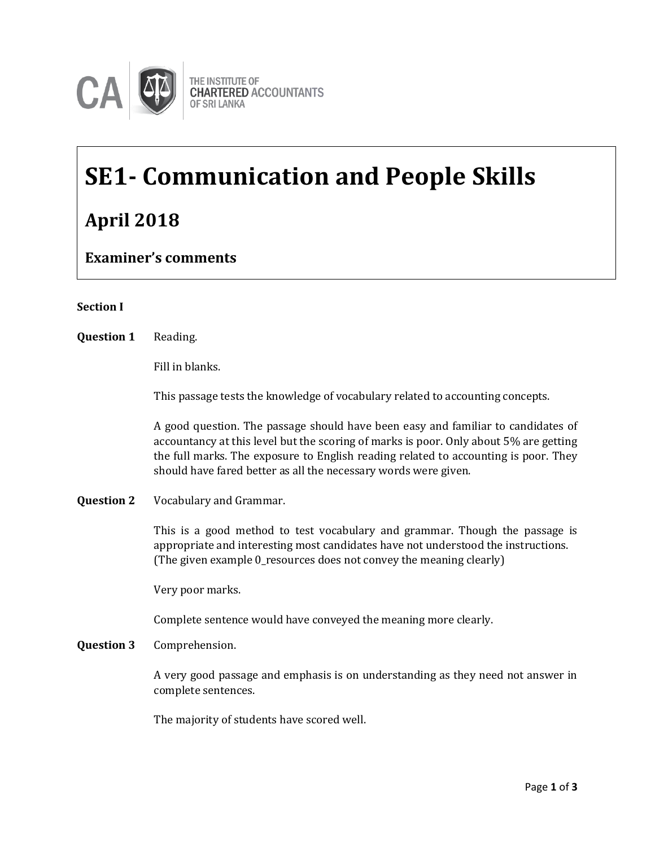

# **SE1- Communication and People Skills April 2018**

**Examiner's comments**

## **Section I**

**Question 1** Reading. **Example 2** Reading.

Fill in blanks.

This passage tests the knowledge of vocabulary related to accounting concepts.

A good question. The passage should have been easy and familiar to candidates of accountancy at this level but the scoring of marks is poor. Only about 5% are getting the full marks. The exposure to English reading related to accounting is poor. They should have fared better as all the necessary words were given.

**Question 2** Vocabulary and Grammar.

This is a good method to test vocabulary and grammar. Though the passage is appropriate and interesting most candidates have not understood the instructions. (The given example 0\_resources does not convey the meaning clearly)

Very poor marks.

Complete sentence would have conveyed the meaning more clearly.

**Question 3** Comprehension.

A very good passage and emphasis is on understanding as they need not answer in complete sentences.

The majority of students have scored well.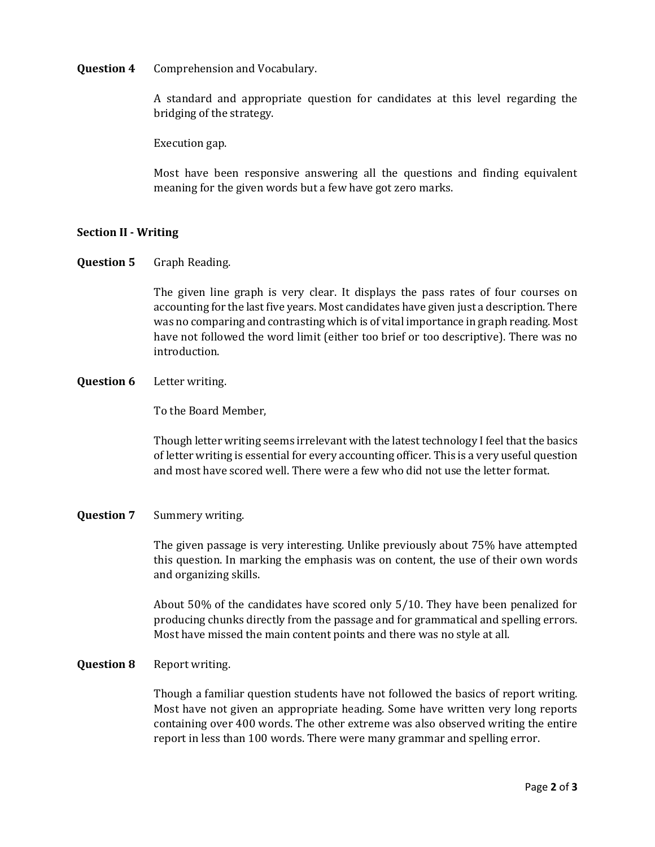**Question 4** Comprehension and Vocabulary.

A standard and appropriate question for candidates at this level regarding the bridging of the strategy.

Execution gap.

Most have been responsive answering all the questions and finding equivalent meaning for the given words but a few have got zero marks.

### **Section II - Writing**

**Question 5** Graph Reading.

The given line graph is very clear. It displays the pass rates of four courses on accounting for the last five years. Most candidates have given just a description. There was no comparing and contrasting which is of vital importance in graph reading. Most have not followed the word limit (either too brief or too descriptive). There was no introduction.

#### **Question 6** Letter writing.

To the Board Member,

Though letter writing seems irrelevant with the latest technology I feel that the basics of letter writing is essential for every accounting officer. This is a very useful question and most have scored well. There were a few who did not use the letter format.

#### **Question 7** Summery writing.

The given passage is very interesting. Unlike previously about 75% have attempted this question. In marking the emphasis was on content, the use of their own words and organizing skills.

About 50% of the candidates have scored only 5/10. They have been penalized for producing chunks directly from the passage and for grammatical and spelling errors. Most have missed the main content points and there was no style at all.

#### **Question 8** Report writing.

Though a familiar question students have not followed the basics of report writing. Most have not given an appropriate heading. Some have written very long reports containing over 400 words. The other extreme was also observed writing the entire report in less than 100 words. There were many grammar and spelling error.